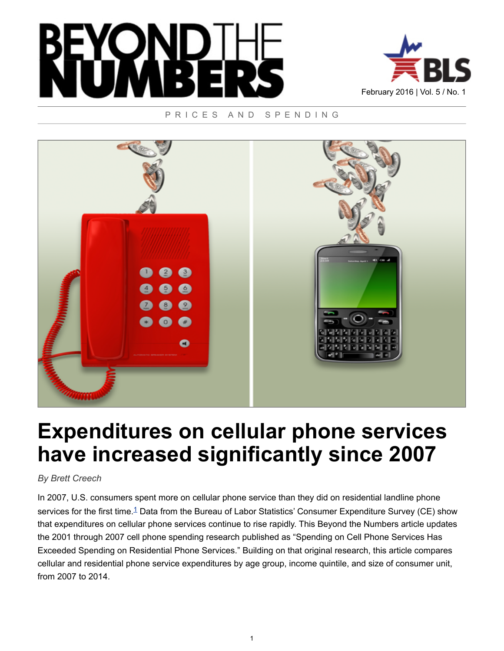



PRICES AND SPENDING



# **Expenditures on cellular phone services have increased significantly since 2007**

### *By Brett Creech*

<span id="page-0-0"></span>In 2007, U.S. consumers spent more on cellular phone service than they did on residential landline phone services for the first time.<sup>[1](#page-5-0)</sup> Data from the Bureau of Labor Statistics' Consumer Expenditure Survey (CE) show that expenditures on cellular phone services continue to rise rapidly. This Beyond the Numbers article updates the 2001 through 2007 cell phone spending research published as "Spending on Cell Phone Services Has Exceeded Spending on Residential Phone Services." Building on that original research, this article compares cellular and residential phone service expenditures by age group, income quintile, and size of consumer unit, from 2007 to 2014.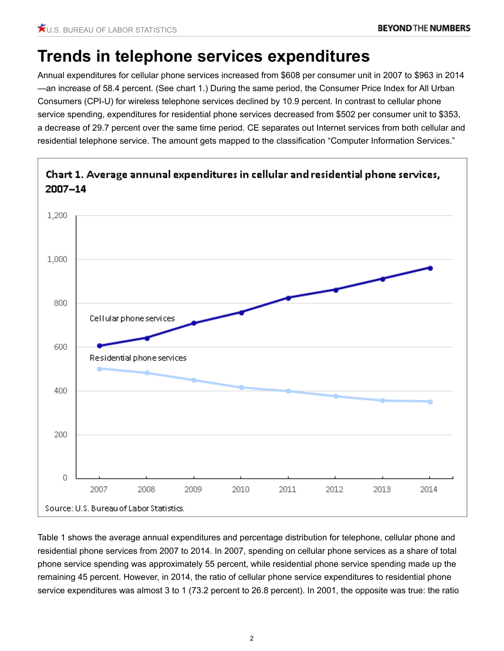### **Trends in telephone services expenditures**

Annual expenditures for cellular phone services increased from \$608 per consumer unit in 2007 to \$963 in 2014 —an increase of 58.4 percent. (See chart 1.) During the same period, the Consumer Price Index for All Urban Consumers (CPI-U) for wireless telephone services declined by 10.9 percent. In contrast to cellular phone service spending, expenditures for residential phone services decreased from \$502 per consumer unit to \$353, a decrease of 29.7 percent over the same time period. CE separates out Internet services from both cellular and residential telephone service. The amount gets mapped to the classification "Computer Information Services."



Chart 1. Average annunal expenditures in cellular and residential phone services,

Table 1 shows the average annual expenditures and percentage distribution for telephone, cellular phone and residential phone services from 2007 to 2014. In 2007, spending on cellular phone services as a share of total phone service spending was approximately 55 percent, while residential phone service spending made up the remaining 45 percent. However, in 2014, the ratio of cellular phone service expenditures to residential phone service expenditures was almost 3 to 1 (73.2 percent to 26.8 percent). In 2001, the opposite was true: the ratio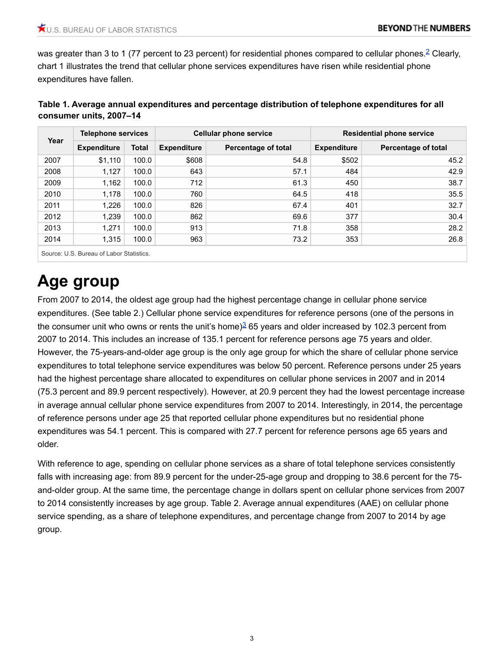<span id="page-2-0"></span>was greater than 3 to 1 (77 percent to [2](#page-5-1)3 percent) for residential phones compared to cellular phones.<sup>2</sup> Clearly, chart 1 illustrates the trend that cellular phone services expenditures have risen while residential phone expenditures have fallen.

|      | <b>Telephone services</b> |              |                    | <b>Cellular phone service</b> | <b>Residential phone service</b> |                     |  |  |
|------|---------------------------|--------------|--------------------|-------------------------------|----------------------------------|---------------------|--|--|
| Year | <b>Expenditure</b>        | <b>Total</b> | <b>Expenditure</b> | Percentage of total           | <b>Expenditure</b>               | Percentage of total |  |  |
| 2007 | \$1,110                   | 100.0        | \$608              | 54.8                          | \$502                            | 45.2                |  |  |
| 2008 | 1,127                     | 100.0        | 643                | 57.1                          | 484                              | 42.9                |  |  |
| 2009 | 1,162                     | 100.0        | 712                | 61.3                          | 450                              | 38.7                |  |  |
| 2010 | 1,178                     | 100.0        | 760                | 64.5                          | 418                              | 35.5                |  |  |
| 2011 | 1,226                     | 100.0        | 826                | 67.4                          | 401                              | 32.7                |  |  |
| 2012 | 1,239                     | 100.0        | 862                | 69.6                          | 377                              | 30.4                |  |  |
| 2013 | 1,271                     | 100.0        | 913                | 71.8                          | 358                              | 28.2                |  |  |
| 2014 | 1,315                     | 100.0        | 963                | 73.2                          | 353                              | 26.8                |  |  |

| Table 1. Average annual expenditures and percentage distribution of telephone expenditures for all |
|----------------------------------------------------------------------------------------------------|
| consumer units, 2007-14                                                                            |

Source: U.S. Bureau of Labor Statistics.

# **Age group**

<span id="page-2-1"></span>From 2007 to 2014, the oldest age group had the highest percentage change in cellular phone service expenditures. (See table 2.) Cellular phone service expenditures for reference persons (one of the persons in the consumer unit who owns or rents the unit's home) $3$  65 years and older increased by 102.3 percent from 2007 to 2014. This includes an increase of 135.1 percent for reference persons age 75 years and older. However, the 75-years-and-older age group is the only age group for which the share of cellular phone service expenditures to total telephone service expenditures was below 50 percent. Reference persons under 25 years had the highest percentage share allocated to expenditures on cellular phone services in 2007 and in 2014 (75.3 percent and 89.9 percent respectively). However, at 20.9 percent they had the lowest percentage increase in average annual cellular phone service expenditures from 2007 to 2014. Interestingly, in 2014, the percentage of reference persons under age 25 that reported cellular phone expenditures but no residential phone expenditures was 54.1 percent. This is compared with 27.7 percent for reference persons age 65 years and older.

With reference to age, spending on cellular phone services as a share of total telephone services consistently falls with increasing age: from 89.9 percent for the under-25-age group and dropping to 38.6 percent for the 75 and-older group. At the same time, the percentage change in dollars spent on cellular phone services from 2007 to 2014 consistently increases by age group. Table 2. Average annual expenditures (AAE) on cellular phone service spending, as a share of telephone expenditures, and percentage change from 2007 to 2014 by age group.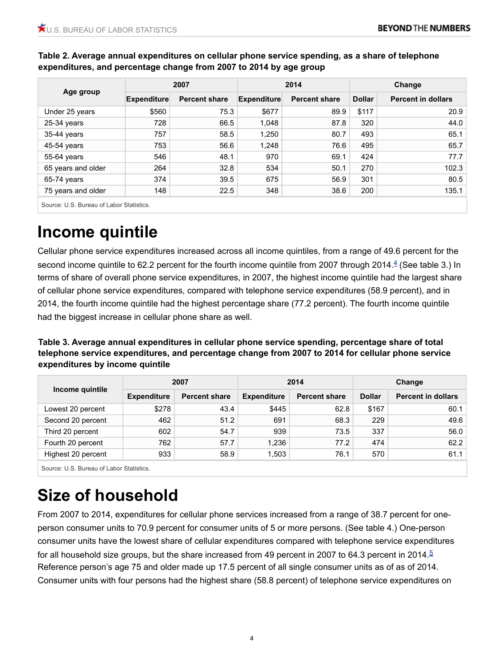|                    | 2007        |                      | 2014               |                      | Change        |                           |
|--------------------|-------------|----------------------|--------------------|----------------------|---------------|---------------------------|
| Age group          | Expenditure | <b>Percent share</b> | <b>Expenditure</b> | <b>Percent share</b> | <b>Dollar</b> | <b>Percent in dollars</b> |
| Under 25 years     | \$560       | 75.3                 | \$677              | 89.9                 | \$117         | 20.9                      |
| $25-34$ years      | 728         | 66.5                 | 1,048              | 87.8                 | 320           | 44.0                      |
| 35-44 years        | 757         | 58.5                 | 1,250              | 80.7                 | 493           | 65.1                      |
| 45-54 years        | 753         | 56.6                 | 1,248              | 76.6                 | 495           | 65.7                      |
| 55-64 years        | 546         | 48.1                 | 970                | 69.1                 | 424           | 77.7                      |
| 65 years and older | 264         | 32.8                 | 534                | 50.1                 | 270           | 102.3                     |
| 65-74 years        | 374         | 39.5                 | 675                | 56.9                 | 301           | 80.5                      |
| 75 years and older | 148         | 22.5                 | 348                | 38.6                 | 200           | 135.1                     |

### **Table 2. Average annual expenditures on cellular phone service spending, as a share of telephone expenditures, and percentage change from 2007 to 2014 by age group**

Source: U.S. Bureau of Labor Statistics.

### **Income quintile**

<span id="page-3-0"></span>Cellular phone service expenditures increased across all income quintiles, from a range of 49.6 percent for the second income quintile to 62.2 percent for the fourth income quintile from 2007 through 201[4](#page-5-3).<sup>4</sup> (See table 3.) In terms of share of overall phone service expenditures, in 2007, the highest income quintile had the largest share of cellular phone service expenditures, compared with telephone service expenditures (58.9 percent), and in 2014, the fourth income quintile had the highest percentage share (77.2 percent). The fourth income quintile had the biggest increase in cellular phone share as well.

**Table 3. Average annual expenditures in cellular phone service spending, percentage share of total telephone service expenditures, and percentage change from 2007 to 2014 for cellular phone service expenditures by income quintile**

|                    |                    | 2007                 |                    | 2014                 | Change        |                           |  |
|--------------------|--------------------|----------------------|--------------------|----------------------|---------------|---------------------------|--|
| Income quintile    | <b>Expenditure</b> | <b>Percent share</b> | <b>Expenditure</b> | <b>Percent share</b> | <b>Dollar</b> | <b>Percent in dollars</b> |  |
| Lowest 20 percent  | \$278              | 43.4                 | \$445              | 62.8                 | \$167         | 60.1                      |  |
| Second 20 percent  | 462                | 51.2                 | 691                | 68.3                 | 229           | 49.6                      |  |
| Third 20 percent   | 602                | 54.7                 | 939                | 73.5                 | 337           | 56.0                      |  |
| Fourth 20 percent  | 762                | 57.7                 | 1,236              | 77.2                 | 474           | 62.2                      |  |
| Highest 20 percent | 933                | 58.9                 | 1,503              | 76.1                 | 570           | 61.1                      |  |
|                    |                    |                      |                    |                      |               |                           |  |

Source: U.S. Bureau of Labor Statistics.

## **Size of household**

<span id="page-3-1"></span>From 2007 to 2014, expenditures for cellular phone services increased from a range of 38.7 percent for oneperson consumer units to 70.9 percent for consumer units of 5 or more persons. (See table 4.) One-person consumer units have the lowest share of cellular expenditures compared with telephone service expenditures for all household size groups, but the share increased from 49 percent in 2007 to 64.3 percent in 2014.<sup>[5](#page-5-4)</sup> Reference person's age 75 and older made up 17.5 percent of all single consumer units as of as of 2014. Consumer units with four persons had the highest share (58.8 percent) of telephone service expenditures on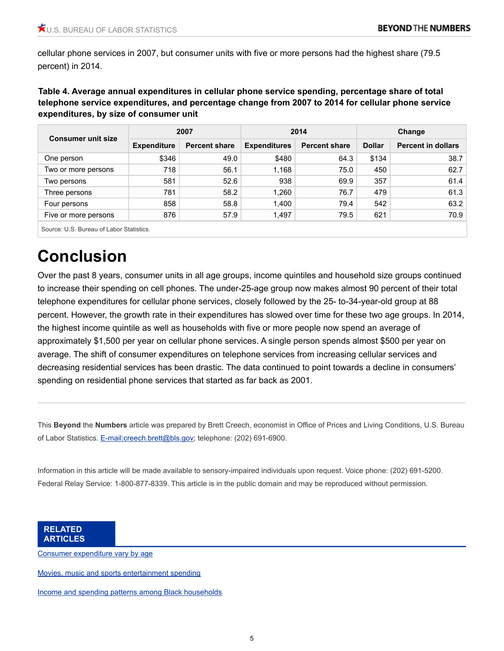cellular phone services in 2007, but consumer units with five or more persons had the highest share (79.5 percent) in 2014.

**Table 4. Average annual expenditures in cellular phone service spending, percentage share of total telephone service expenditures, and percentage change from 2007 to 2014 for cellular phone service expenditures, by size of consumer unit**

| <b>Consumer unit size</b>                |                    | 2007                 | 2014                |                      | Change        |                           |
|------------------------------------------|--------------------|----------------------|---------------------|----------------------|---------------|---------------------------|
|                                          | <b>Expenditure</b> | <b>Percent share</b> | <b>Expenditures</b> | <b>Percent share</b> | <b>Dollar</b> | <b>Percent in dollars</b> |
| One person                               | \$346              | 49.0                 | \$480               | 64.3                 | \$134         | 38.7                      |
| Two or more persons                      | 718                | 56.1                 | 1,168               | 75.0                 | 450           | 62.7                      |
| Two persons                              | 581                | 52.6                 | 938                 | 69.9                 | 357           | 61.4                      |
| Three persons                            | 781                | 58.2                 | 1,260               | 76.7                 | 479           | 61.3                      |
| Four persons                             | 858                | 58.8                 | 1,400               | 79.4                 | 542           | 63.2                      |
| Five or more persons                     | 876                | 57.9                 | 1,497               | 79.5                 | 621           | 70.9                      |
| Source: U.S. Bureau of Labor Statistics. |                    |                      |                     |                      |               |                           |

# **Conclusion**

Over the past 8 years, consumer units in all age groups, income quintiles and household size groups continued to increase their spending on cell phones. The under-25-age group now makes almost 90 percent of their total telephone expenditures for cellular phone services, closely followed by the 25- to-34-year-old group at 88 percent. However, the growth rate in their expenditures has slowed over time for these two age groups. In 2014, the highest income quintile as well as households with five or more people now spend an average of approximately \$1,500 per year on cellular phone services. A single person spends almost \$500 per year on average. The shift of consumer expenditures on telephone services from increasing cellular services and decreasing residential services has been drastic. The data continued to point towards a decline in consumers' spending on residential phone services that started as far back as 2001.

This **Beyond** the **Numbers** article was prepared by Brett Creech, economist in Office of Prices and Living Conditions, U.S. Bureau of Labor Statistics. [E-mail:creech.brett@bls.gov](mailto:creech.brett@bls.gov); telephone: (202) 691-6900.

Information in this article will be made available to sensory-impaired individuals upon request. Voice phone: (202) 691-5200. Federal Relay Service: 1-800-877-8339. This article is in the public domain and may be reproduced without permission.

**RELATED ARTICLES**

[Consumer expenditure vary by age](https://www.bls.gov/opub/btn/volume-4/consumer-expenditures-vary-by-age.htm)

[Movies, music and sports entertainment spending](https://www.bls.gov/opub/btn/volume-4/movies-music-sports-entertainment-spending.htm)

[Income and spending patterns among Black households](https://www.bls.gov/opub/btn/volume-3/income-and-spending-patterns-among-black-households.htm)